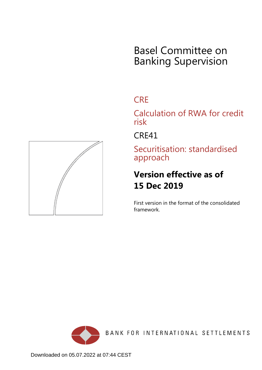# Basel Committee on Banking Supervision

## **CRE**

Calculation of RWA for credit risk

CRE41

Securitisation: standardised approach

## **Version effective as of 15 Dec 2019**

First version in the format of the consolidated framework.



BANK FOR INTERNATIONAL SETTLEMENTS

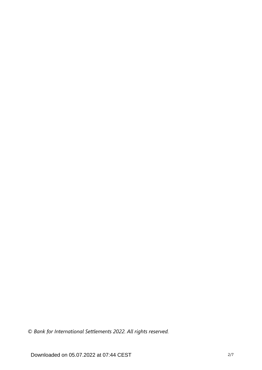*© Bank for International Settlements 2022. All rights reserved.*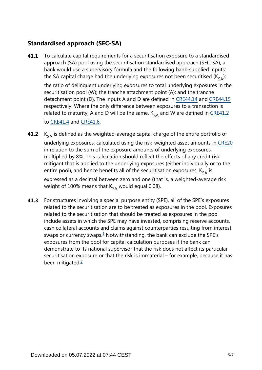### **Standardised approach (SEC-SA)**

To calculate capital requirements for a securitisation exposure to a standardised approach (SA) pool using the securitisation standardised approach (SEC-SA), a bank would use a supervisory formula and the following bank-supplied inputs: the SA capital charge had the underlying exposures not been securitised ( $K_{c\Delta}$ ); **41.1**

the ratio of delinquent underlying exposures to total underlying exposures in the securitisation pool (W); the tranche attachment point (A); and the tranche detachment point (D). The inputs A and D are defined in [CRE44.14](https://www.bis.org/basel_framework/chapter/CRE/44.htm?tldate=20230101&inforce=20230101&published=20200327#paragraph_CRE_44_20230101_44_14) and [CRE44.15](https://www.bis.org/basel_framework/chapter/CRE/44.htm?tldate=20230101&inforce=20230101&published=20200327#paragraph_CRE_44_20230101_44_15) respectively. Where the only difference between exposures to a transaction is related to maturity, A and D will be the same.  $K_{cA}$  and W are defined in [CRE41.2](https://www.bis.org/basel_framework/chapter/CRE/41.htm?tldate=20230101&inforce=20191215&published=20191215#paragraph_CRE_41_20191215_41_2)

to [CRE41.4](https://www.bis.org/basel_framework/chapter/CRE/41.htm?tldate=20230101&inforce=20191215&published=20191215#paragraph_CRE_41_20191215_41_4) and [CRE41.6](https://www.bis.org/basel_framework/chapter/CRE/41.htm?tldate=20230101&inforce=20191215&published=20191215#paragraph_CRE_41_20191215_41_6).

- $K_{SA}$  is defined as the weighted-average capital charge of the entire portfolio of underlying exposures, calculated using the risk-weighted asset amounts in [CRE20](https://www.bis.org/basel_framework/chapter/CRE/20.htm?tldate=20230101&inforce=20230101&published=20201126) in relation to the sum of the exposure amounts of underlying exposures, multiplied by 8%. This calculation should reflect the effects of any credit risk mitigant that is applied to the underlying exposures (either individually or to the entire pool), and hence benefits all of the securitisation exposures.  $K_{s_A}$  is expressed as a decimal between zero and one (that is, a weighted-average risk weight of 100% means that  $K_{SA}$  would equal 0.08). **41.2**
- <span id="page-2-1"></span><span id="page-2-0"></span>For structures involving a special purpose entity (SPE), all of the SPE's exposures related to the securitisation are to be treated as exposures in the pool. Exposures related to the securitisation that should be treated as exposures in the pool include assets in which the SPE may have invested, comprising reserve accounts, cash collateral accounts and claims against counterparties resulting from interest swaps or currency swaps. $\frac{1}{2}$  $\frac{1}{2}$  $\frac{1}{2}$  Notwithstanding, the bank can exclude the SPE's exposures from the pool for capital calculation purposes if the bank can demonstrate to its national supervisor that the risk does not affect its particular securitisation exposure or that the risk is immaterial – for example, because it has been mitigated. $\frac{2}{3}$  $\frac{2}{3}$  $\frac{2}{3}$ **41.3**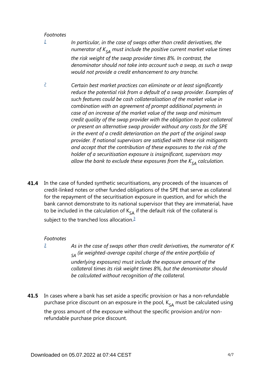#### *Footnotes*

<span id="page-3-0"></span>*[1](#page-2-0)*

- *In particular, in the case of swaps other than credit derivatives, the numerator of*  $K_{SA}$  *must include the positive current market value times the risk weight of the swap provider times 8%. In contrast, the denominator should not take into account such a swap, as such a swap would not provide a credit enhancement to any tranche.*
- <span id="page-3-1"></span>*Certain best market practices can eliminate or at least significantly reduce the potential risk from a default of a swap provider. Examples of such features could be cash collateralisation of the market value in combination with an agreement of prompt additional payments in case of an increase of the market value of the swap and minimum credit quality of the swap provider with the obligation to post collateral or present an alternative swap provider without any costs for the SPE in the event of a credit deterioration on the part of the original swap provider. If national supervisors are satisfied with these risk mitigants and accept that the contribution of these exposures to the risk of the holder of a securitisation exposure is insignificant, supervisors may allow the bank to exclude these exposures from the*  $K_{SA}$  *calculation. [2](#page-2-1)*
- <span id="page-3-3"></span>In the case of funded synthetic securitisations, any proceeds of the issuances of credit-linked notes or other funded obligations of the SPE that serve as collateral for the repayment of the securitisation exposure in question, and for which the bank cannot demonstrate to its national supervisor that they are immaterial, have to be included in the calculation of  $K_{sA}$  if the default risk of the collateral is subject to the tranched loss allocation.<sup>[3](#page-3-2)</sup> **41.4**

#### *Footnotes*

<span id="page-3-2"></span>*[3](#page-3-3)*

*As in the case of swaps other than credit derivatives, the numerator of K*  $_{SA}$  (ie weighted-average capital charge of the entire portfolio of *underlying exposures) must include the exposure amount of the collateral times its risk weight times 8%, but the denominator should be calculated without recognition of the collateral.*

In cases where a bank has set aside a specific provision or has a non-refundable purchase price discount on an exposure in the pool,  $K_{SA}$  must be calculated using the gross amount of the exposure without the specific provision and/or nonrefundable purchase price discount. **41.5**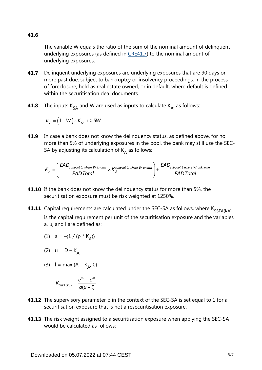**41.6**

The variable W equals the ratio of the sum of the nominal amount of delinquent underlying exposures (as defined in [CRE41.7\)](https://www.bis.org/basel_framework/chapter/CRE/41.htm?tldate=20230101&inforce=20191215&published=20191215#paragraph_CRE_41_20191215_41_7) to the nominal amount of underlying exposures.

- Delinquent underlying exposures are underlying exposures that are 90 days or more past due, subject to bankruptcy or insolvency proceedings, in the process of foreclosure, held as real estate owned, or in default, where default is defined within the securitisation deal documents. **41.7**
- The inputs  $K_{SA}$  and W are used as inputs to calculate  $K_{A}$ , as follows: **41.8**

$$
K_{A} = (1 - W) \times K_{SA} + 0.5W
$$

**41.9** In case a bank does not know the delinquency status, as defined above, for no more than 5% of underlying exposures in the pool, the bank may still use the SEC-SA by adjusting its calculation of  $K_A$  as follows:

$$
K_A = \left(\frac{\text{EAD}_{\text{subpool 1 where W known}}}{\text{EADTotal}} \times K_A^{\text{subpool 1 where W known}}\right) + \frac{\text{EAD}_{\text{subpool 2 where W unknown}}}{\text{EADTotal}}
$$

- **41.10** If the bank does not know the delinquency status for more than 5%, the securitisation exposure must be risk weighted at 1250%.
- **41.11** Capital requirements are calculated under the SEC-SA as follows, where  $\mathsf{K}_{\mathsf{SSFA}(\mathsf{KA})}$ is the capital requirement per unit of the securitisation exposure and the variables a, u, and l are defined as:

(1) 
$$
a = -(1 / (p * K_A))
$$

$$
(2) \quad u = D - K_A
$$

(3)  $I = max (A - K_{A}; 0)$ 

$$
K_{\text{SSFA}(K_A)} = \frac{e^{au} - e^{al}}{a(u-l)}
$$

- **41.12** The supervisory parameter p in the context of the SEC-SA is set equal to 1 for a securitisation exposure that is not a resecuritisation exposure.
- **41.13** The risk weight assigned to a securitisation exposure when applying the SEC-SA would be calculated as follows: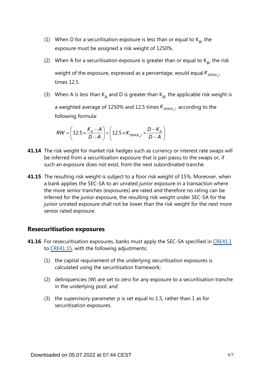- (1) When D for a securitisation exposure is less than or equal to  $K_{A}$ , the exposure must be assigned a risk weight of 1250%.
- (2) When A for a securitisation exposure is greater than or equal to  $K_{A}$ , the risk weight of the exposure, expressed as a percentage, would equal  $K_{\text{SSEA}(K_1)}$ times 12.5.
- (3) When A is less than K<sub>A</sub> and D is greater than K<sub>A</sub>, the applicable risk weight is a weighted average of 1250% and 12.5 times  $K_{SSFA(K_A)}$  according to the following formula:

$$
RW = \left(12.5 \times \frac{K_A - A}{D - A}\right) + \left(12.5 \times K_{SSFA(K_A)} \times \frac{D - K_A}{D - A}\right)
$$

- **41.14** The risk weight for market risk hedges such as currency or interest rate swaps will be inferred from a securitisation exposure that is pari passu to the swaps or, if such an exposure does not exist, from the next subordinated tranche.
- **41.15** The resulting risk weight is subject to a floor risk weight of 15%. Moreover, when a bank applies the SEC-SA to an unrated junior exposure in a transaction where the more senior tranches (exposures) are rated and therefore no rating can be inferred for the junior exposure, the resulting risk weight under SEC-SA for the junior unrated exposure shall not be lower than the risk weight for the next more senior rated exposure.

#### **Resecuritisation exposures**

- **41.16** For resecuritisation exposures, banks must apply the SEC-SA specified in [CRE41.1](https://www.bis.org/basel_framework/chapter/CRE/41.htm?tldate=20230101&inforce=20191215&published=20191215#paragraph_CRE_41_20191215_41_1) to [CRE41.15,](https://www.bis.org/basel_framework/chapter/CRE/41.htm?tldate=20230101&inforce=20191215&published=20191215#paragraph_CRE_41_20191215_41_15) with the following adjustments:
	- (1) the capital requirement of the underlying securitisation exposures is calculated using the securitisation framework;
	- (2) delinquencies (W) are set to zero for any exposure to a securitisation tranche in the underlying pool; and
	- (3) the supervisory parameter p is set equal to 1.5, rather than 1 as for securitisation exposures.